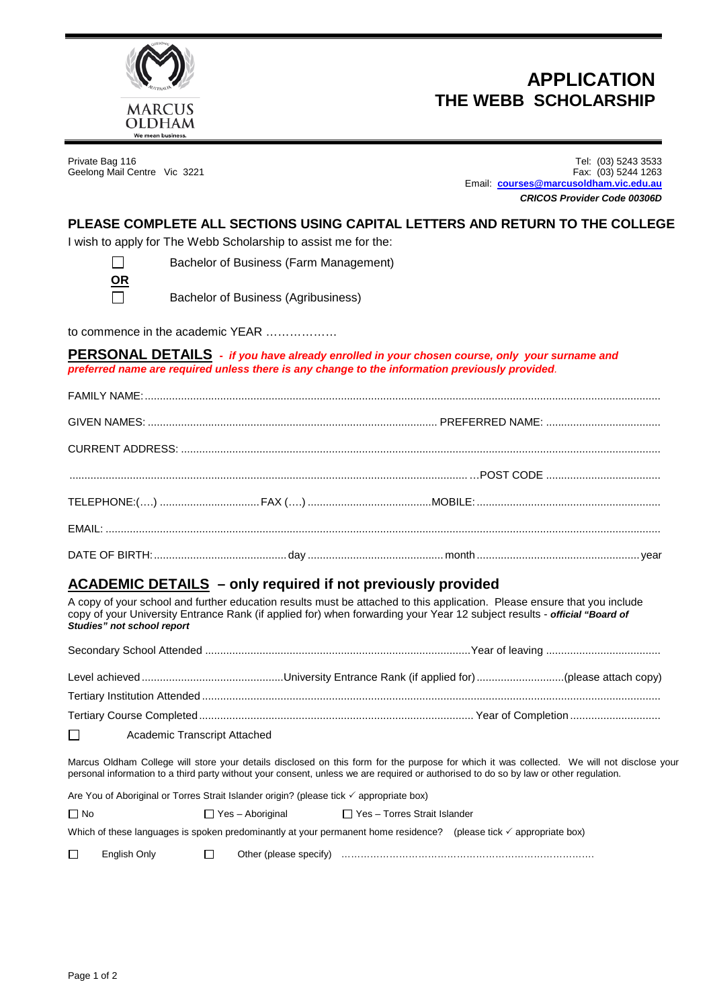

# **APPLICATION THE WEBB SCHOLARSHIP**

Geelong Mail Centre Vic 3221

Private Bag 116 Tel: (03) 5243 3533 Email: **[courses@marcusoldham.vic.edu.au](mailto:courses@marcusoldham.vic.edu.au)** *CRICOS Provider Code 00306D*

#### **PLEASE COMPLETE ALL SECTIONS USING CAPITAL LETTERS AND RETURN TO THE COLLEGE**

I wish to apply for The Webb Scholarship to assist me for the:

П **OR** Bachelor of Business (Farm Management)

 $\Box$ 

Bachelor of Business (Agribusiness)

to commence in the academic YEAR ………………

**PERSONAL DETAILS -** *if you have already enrolled in your chosen course, only your surname and preferred name are required unless there is any change to the information previously provided.*

### **ACADEMIC DETAILS – only required if not previously provided**

A copy of your school and further education results must be attached to this application. Please ensure that you include copy of your University Entrance Rank (if applied for) when forwarding your Year 12 subject results - *official "Board of Studies" not school report*

| $\Box$<br><b>Academic Transcript Attached</b> |  |  |  |
|-----------------------------------------------|--|--|--|

Marcus Oldham College will store your details disclosed on this form for the purpose for which it was collected. We will not disclose your personal information to a third party without your consent, unless we are required or authorised to do so by law or other regulation.

Are You of Aboriginal or Torres Strait Islander origin? (please tick  $\checkmark$  appropriate box)

| l No |              | □ Yes – Aboriginal     | Ⅰ TYes – Torres Strait Islander |                                                                                                                               |
|------|--------------|------------------------|---------------------------------|-------------------------------------------------------------------------------------------------------------------------------|
|      |              |                        |                                 | Which of these languages is spoken predominantly at your permanent home residence? (please tick $\checkmark$ appropriate box) |
|      | Enalish Only | Other (please specify) |                                 |                                                                                                                               |